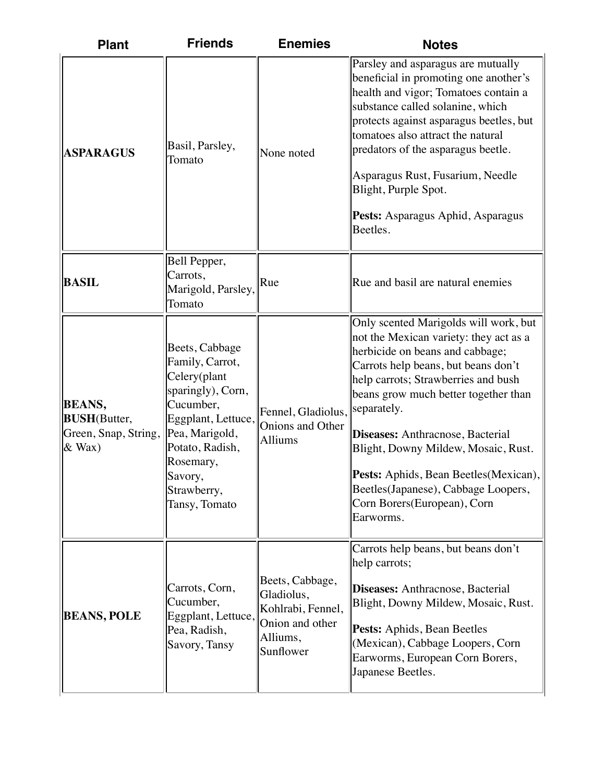| <b>Plant</b>                                                              | <b>Friends</b>                                                                                                                                                                                         | <b>Enemies</b>                                                                                 | <b>Notes</b>                                                                                                                                                                                                                                                                                                                                                                                                                                     |
|---------------------------------------------------------------------------|--------------------------------------------------------------------------------------------------------------------------------------------------------------------------------------------------------|------------------------------------------------------------------------------------------------|--------------------------------------------------------------------------------------------------------------------------------------------------------------------------------------------------------------------------------------------------------------------------------------------------------------------------------------------------------------------------------------------------------------------------------------------------|
| <b>ASPARAGUS</b>                                                          | Basil, Parsley,<br>Tomato                                                                                                                                                                              | None noted                                                                                     | Parsley and asparagus are mutually<br>beneficial in promoting one another's<br>health and vigor; Tomatoes contain a<br>substance called solanine, which<br>protects against asparagus beetles, but<br>tomatoes also attract the natural<br>predators of the asparagus beetle.<br>Asparagus Rust, Fusarium, Needle<br>Blight, Purple Spot.<br>Pests: Asparagus Aphid, Asparagus<br>Beetles.                                                       |
| <b>BASIL</b>                                                              | Bell Pepper,<br>Carrots,<br>Marigold, Parsley,<br>Tomato                                                                                                                                               | Rue                                                                                            | Rue and basil are natural enemies                                                                                                                                                                                                                                                                                                                                                                                                                |
| <b>BEANS,</b><br><b>BUSH</b> (Butter,<br>Green, Snap, String,<br>$&$ Wax) | Beets, Cabbage<br>Family, Carrot,<br>Celery(plant<br>sparingly), Corn,<br>Cucumber,<br>Eggplant, Lettuce,<br>Pea, Marigold,<br>Potato, Radish,<br>Rosemary,<br>Savory,<br>Strawberry,<br>Tansy, Tomato | Fennel, Gladiolus, separately.<br>Onions and Other<br>Alliums                                  | Only scented Marigolds will work, but<br>not the Mexican variety: they act as a<br>herbicide on beans and cabbage;<br>Carrots help beans, but beans don't<br>help carrots; Strawberries and bush<br>beans grow much better together than<br>Diseases: Anthracnose, Bacterial<br>Blight, Downy Mildew, Mosaic, Rust.<br>Pests: Aphids, Bean Beetles (Mexican),<br>Beetles(Japanese), Cabbage Loopers,<br>Corn Borers(European), Corn<br>Earworms. |
| <b>BEANS, POLE</b>                                                        | Carrots, Corn,<br>Cucumber,<br>Eggplant, Lettuce,<br>Pea, Radish,<br>Savory, Tansy                                                                                                                     | Beets, Cabbage,<br>Gladiolus,<br>Kohlrabi, Fennel,<br>Onion and other<br>Alliums,<br>Sunflower | Carrots help beans, but beans don't<br>help carrots;<br>Diseases: Anthracnose, Bacterial<br>Blight, Downy Mildew, Mosaic, Rust.<br>Pests: Aphids, Bean Beetles<br>(Mexican), Cabbage Loopers, Corn<br>Earworms, European Corn Borers,<br>Japanese Beetles.                                                                                                                                                                                       |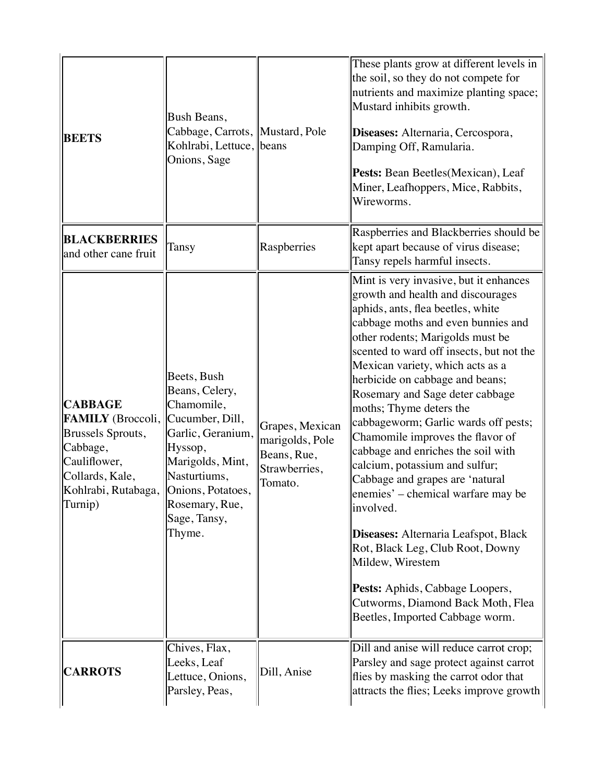| <b>BEETS</b>                                                                                                                              | Bush Beans,<br>Cabbage, Carrots, Mustard, Pole<br>Kohlrabi, Lettuce, beans<br>Onions, Sage                                                                                                          |                                                                               | These plants grow at different levels in<br>the soil, so they do not compete for<br>nutrients and maximize planting space;<br>Mustard inhibits growth.<br>Diseases: Alternaria, Cercospora,<br>Damping Off, Ramularia.<br>Pests: Bean Beetles(Mexican), Leaf<br>Miner, Leafhoppers, Mice, Rabbits,<br>Wireworms.                                                                                                                                                                                                                                                                                                                                                                                                                                                                                                                 |
|-------------------------------------------------------------------------------------------------------------------------------------------|-----------------------------------------------------------------------------------------------------------------------------------------------------------------------------------------------------|-------------------------------------------------------------------------------|----------------------------------------------------------------------------------------------------------------------------------------------------------------------------------------------------------------------------------------------------------------------------------------------------------------------------------------------------------------------------------------------------------------------------------------------------------------------------------------------------------------------------------------------------------------------------------------------------------------------------------------------------------------------------------------------------------------------------------------------------------------------------------------------------------------------------------|
| <b>BLACKBERRIES</b><br>and other cane fruit                                                                                               | Tansy                                                                                                                                                                                               | Raspberries                                                                   | Raspberries and Blackberries should be<br>kept apart because of virus disease;<br>Tansy repels harmful insects.                                                                                                                                                                                                                                                                                                                                                                                                                                                                                                                                                                                                                                                                                                                  |
| <b>CABBAGE</b><br>FAMILY (Broccoli,<br>Brussels Sprouts,<br>Cabbage,<br>Cauliflower,<br>Collards, Kale,<br>Kohlrabi, Rutabaga,<br>Turnip) | Beets, Bush<br>Beans, Celery,<br>Chamomile,<br>Cucumber, Dill,<br>Garlic, Geranium,<br>Hyssop,<br>Marigolds, Mint,<br>Nasturtiums,<br>Onions, Potatoes,<br>Rosemary, Rue,<br>Sage, Tansy,<br>Thyme. | Grapes, Mexican<br>marigolds, Pole<br>Beans, Rue,<br>Strawberries,<br>Tomato. | Mint is very invasive, but it enhances<br>growth and health and discourages<br>aphids, ants, flea beetles, white<br>cabbage moths and even bunnies and<br>other rodents; Marigolds must be<br>scented to ward off insects, but not the<br>Mexican variety, which acts as a<br>herbicide on cabbage and beans;<br>Rosemary and Sage deter cabbage<br>moths; Thyme deters the<br>cabbageworm; Garlic wards off pests;<br>Chamomile improves the flavor of<br>cabbage and enriches the soil with<br>calcium, potassium and sulfur;<br>Cabbage and grapes are 'natural<br>enemies' – chemical warfare may be<br>involved.<br>Diseases: Alternaria Leafspot, Black<br>Rot, Black Leg, Club Root, Downy<br>Mildew, Wirestem<br>Pests: Aphids, Cabbage Loopers,<br>Cutworms, Diamond Back Moth, Flea<br>Beetles, Imported Cabbage worm. |
| <b>CARROTS</b>                                                                                                                            | Chives, Flax,<br>Leeks, Leaf<br>Lettuce, Onions,<br>Parsley, Peas,                                                                                                                                  | Dill, Anise                                                                   | Dill and anise will reduce carrot crop;<br>Parsley and sage protect against carrot<br>flies by masking the carrot odor that<br>attracts the flies; Leeks improve growth                                                                                                                                                                                                                                                                                                                                                                                                                                                                                                                                                                                                                                                          |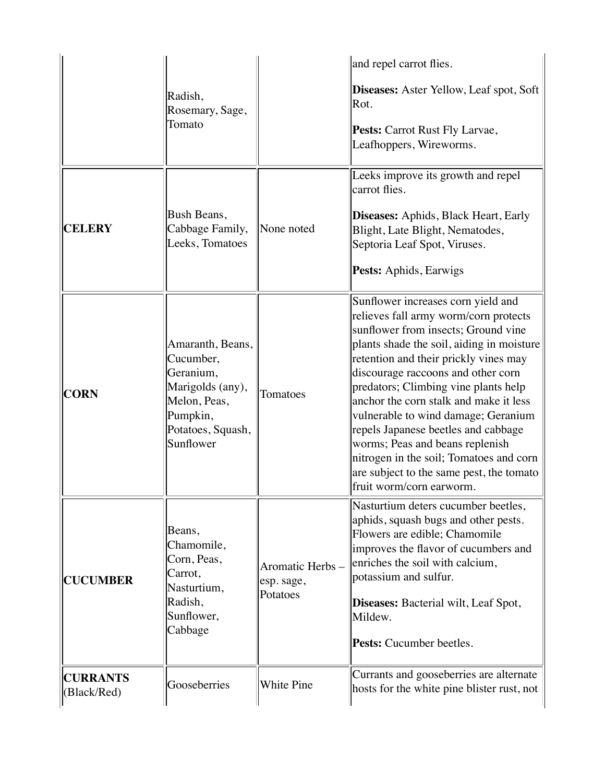|                                |                                                                                                                              |                                           | and repel carrot flies.                                                                                                                                                                                                                                                                                                                                                                                                                                                                                                                                              |
|--------------------------------|------------------------------------------------------------------------------------------------------------------------------|-------------------------------------------|----------------------------------------------------------------------------------------------------------------------------------------------------------------------------------------------------------------------------------------------------------------------------------------------------------------------------------------------------------------------------------------------------------------------------------------------------------------------------------------------------------------------------------------------------------------------|
|                                | Radish,<br>Rosemary, Sage,                                                                                                   |                                           | Diseases: Aster Yellow, Leaf spot, Soft<br>Rot.                                                                                                                                                                                                                                                                                                                                                                                                                                                                                                                      |
|                                | Tomato                                                                                                                       |                                           | Pests: Carrot Rust Fly Larvae,<br>Leafhoppers, Wireworms.                                                                                                                                                                                                                                                                                                                                                                                                                                                                                                            |
|                                |                                                                                                                              |                                           | Leeks improve its growth and repel<br>carrot flies.                                                                                                                                                                                                                                                                                                                                                                                                                                                                                                                  |
| <b>CELERY</b>                  | Bush Beans,<br>Cabbage Family,<br>Leeks, Tomatoes                                                                            | None noted                                | Diseases: Aphids, Black Heart, Early<br>Blight, Late Blight, Nematodes,<br>Septoria Leaf Spot, Viruses.                                                                                                                                                                                                                                                                                                                                                                                                                                                              |
|                                |                                                                                                                              |                                           | Pests: Aphids, Earwigs                                                                                                                                                                                                                                                                                                                                                                                                                                                                                                                                               |
| <b>CORN</b>                    | Amaranth, Beans,<br>Cucumber,<br>Geranium,<br>Marigolds (any),<br>Melon, Peas,<br>Pumpkin,<br>Potatoes, Squash,<br>Sunflower | Tomatoes                                  | Sunflower increases corn yield and<br>relieves fall army worm/corn protects<br>sunflower from insects; Ground vine<br>plants shade the soil, aiding in moisture<br>retention and their prickly vines may<br>discourage raccoons and other corn<br>predators; Climbing vine plants help<br>anchor the corn stalk and make it less<br>vulnerable to wind damage; Geranium<br>repels Japanese beetles and cabbage<br>worms; Peas and beans replenish<br>nitrogen in the soil; Tomatoes and corn<br>are subject to the same pest, the tomato<br>fruit worm/corn earworm. |
| <b>CUCUMBER</b>                | Beans,<br>Chamomile,<br>Corn, Peas,<br>Carrot,<br>Nasturtium,<br>Radish,<br>Sunflower,<br>Cabbage                            | Aromatic Herbs-<br>esp. sage,<br>Potatoes | Nasturtium deters cucumber beetles,<br>aphids, squash bugs and other pests.<br>Flowers are edible; Chamomile<br>improves the flavor of cucumbers and<br>enriches the soil with calcium,<br>potassium and sulfur.<br>Diseases: Bacterial wilt, Leaf Spot,<br>Mildew.                                                                                                                                                                                                                                                                                                  |
|                                |                                                                                                                              |                                           | <b>Pests:</b> Cucumber beetles.                                                                                                                                                                                                                                                                                                                                                                                                                                                                                                                                      |
| <b>CURRANTS</b><br>(Black/Red) | Gooseberries                                                                                                                 | White Pine                                | Currants and gooseberries are alternate<br>hosts for the white pine blister rust, not                                                                                                                                                                                                                                                                                                                                                                                                                                                                                |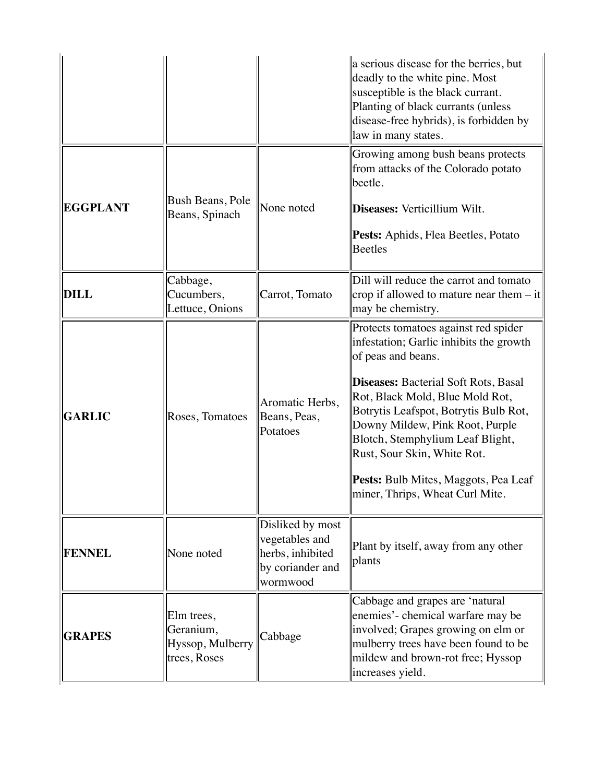|                 |                                                             |                                                                                        | a serious disease for the berries, but<br>deadly to the white pine. Most<br>susceptible is the black currant.<br>Planting of black currants (unless<br>disease-free hybrids), is forbidden by<br>law in many states.                                                                                                                                                                                              |
|-----------------|-------------------------------------------------------------|----------------------------------------------------------------------------------------|-------------------------------------------------------------------------------------------------------------------------------------------------------------------------------------------------------------------------------------------------------------------------------------------------------------------------------------------------------------------------------------------------------------------|
| <b>EGGPLANT</b> | Bush Beans, Pole<br>Beans, Spinach                          | None noted                                                                             | Growing among bush beans protects<br>from attacks of the Colorado potato<br>beetle.<br>Diseases: Verticillium Wilt.<br>Pests: Aphids, Flea Beetles, Potato<br><b>Beetles</b>                                                                                                                                                                                                                                      |
| <b>DILL</b>     | Cabbage,<br>Cucumbers,<br>Lettuce, Onions                   | Carrot, Tomato                                                                         | Dill will reduce the carrot and tomato<br>crop if allowed to mature near them $-$ it<br>may be chemistry.                                                                                                                                                                                                                                                                                                         |
| <b>GARLIC</b>   | Roses, Tomatoes                                             | Aromatic Herbs,<br>Beans, Peas,<br>Potatoes                                            | Protects tomatoes against red spider<br>infestation; Garlic inhibits the growth<br>of peas and beans.<br><b>Diseases: Bacterial Soft Rots, Basal</b><br>Rot, Black Mold, Blue Mold Rot,<br>Botrytis Leafspot, Botrytis Bulb Rot,<br>Downy Mildew, Pink Root, Purple<br>Blotch, Stemphylium Leaf Blight,<br>Rust, Sour Skin, White Rot.<br>Pests: Bulb Mites, Maggots, Pea Leaf<br>miner, Thrips, Wheat Curl Mite. |
| <b>FENNEL</b>   | None noted                                                  | Disliked by most<br>vegetables and<br>herbs, inhibited<br>by coriander and<br>wormwood | Plant by itself, away from any other<br>plants                                                                                                                                                                                                                                                                                                                                                                    |
| <b>GRAPES</b>   | Elm trees,<br>Geranium,<br>Hyssop, Mulberry<br>trees, Roses | Cabbage                                                                                | Cabbage and grapes are 'natural<br>enemies'- chemical warfare may be<br>involved; Grapes growing on elm or<br>mulberry trees have been found to be<br>mildew and brown-rot free; Hyssop<br>increases yield.                                                                                                                                                                                                       |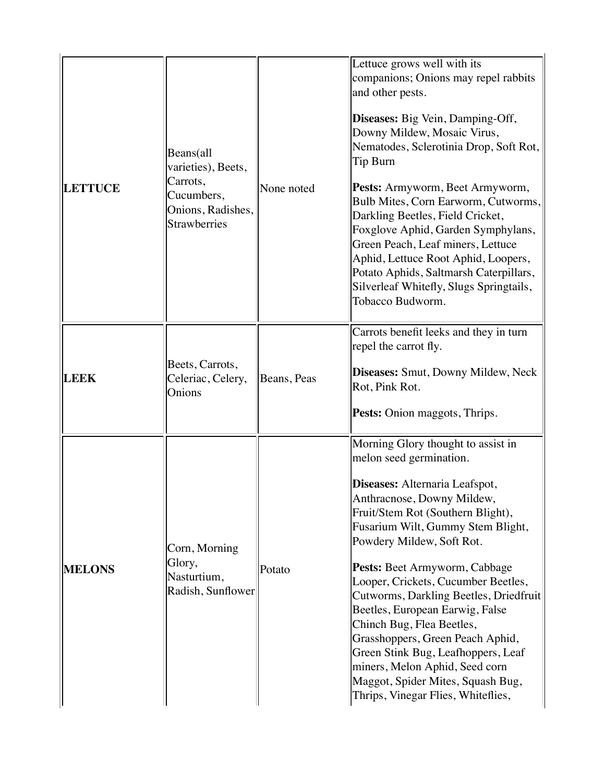| <b>LETTUCE</b> | Beans(all<br>varieties), Beets,<br>Carrots,<br>Cucumbers,<br>Onions, Radishes,<br><b>Strawberries</b> | None noted  | Lettuce grows well with its<br>companions; Onions may repel rabbits<br>and other pests.<br>Diseases: Big Vein, Damping-Off,<br>Downy Mildew, Mosaic Virus,<br>Nematodes, Sclerotinia Drop, Soft Rot,<br>Tip Burn<br>Pests: Armyworm, Beet Armyworm,<br>Bulb Mites, Corn Earworm, Cutworms,<br>Darkling Beetles, Field Cricket,<br>Foxglove Aphid, Garden Symphylans,<br>Green Peach, Leaf miners, Lettuce<br>Aphid, Lettuce Root Aphid, Loopers,<br>Potato Aphids, Saltmarsh Caterpillars,<br>Silverleaf Whitefly, Slugs Springtails,<br>Tobacco Budworm.                                                     |
|----------------|-------------------------------------------------------------------------------------------------------|-------------|---------------------------------------------------------------------------------------------------------------------------------------------------------------------------------------------------------------------------------------------------------------------------------------------------------------------------------------------------------------------------------------------------------------------------------------------------------------------------------------------------------------------------------------------------------------------------------------------------------------|
| <b>LEEK</b>    | Beets, Carrots,<br>Celeriac, Celery,<br>Onions                                                        | Beans, Peas | Carrots benefit leeks and they in turn<br>repel the carrot fly.<br>Diseases: Smut, Downy Mildew, Neck<br>Rot, Pink Rot.<br>Pests: Onion maggots, Thrips.                                                                                                                                                                                                                                                                                                                                                                                                                                                      |
| <b>MELONS</b>  | Corn, Morning<br>Glory,<br>Nasturtium,<br>Radish, Sunflower                                           | Potato      | Morning Glory thought to assist in<br>melon seed germination.<br>Diseases: Alternaria Leafspot,<br>Anthracnose, Downy Mildew,<br>Fruit/Stem Rot (Southern Blight),<br>Fusarium Wilt, Gummy Stem Blight,<br>Powdery Mildew, Soft Rot.<br>Pests: Beet Armyworm, Cabbage<br>Looper, Crickets, Cucumber Beetles,<br>Cutworms, Darkling Beetles, Driedfruit<br>Beetles, European Earwig, False<br>Chinch Bug, Flea Beetles,<br>Grasshoppers, Green Peach Aphid,<br>Green Stink Bug, Leafhoppers, Leaf<br>miners, Melon Aphid, Seed corn<br>Maggot, Spider Mites, Squash Bug,<br>Thrips, Vinegar Flies, Whiteflies, |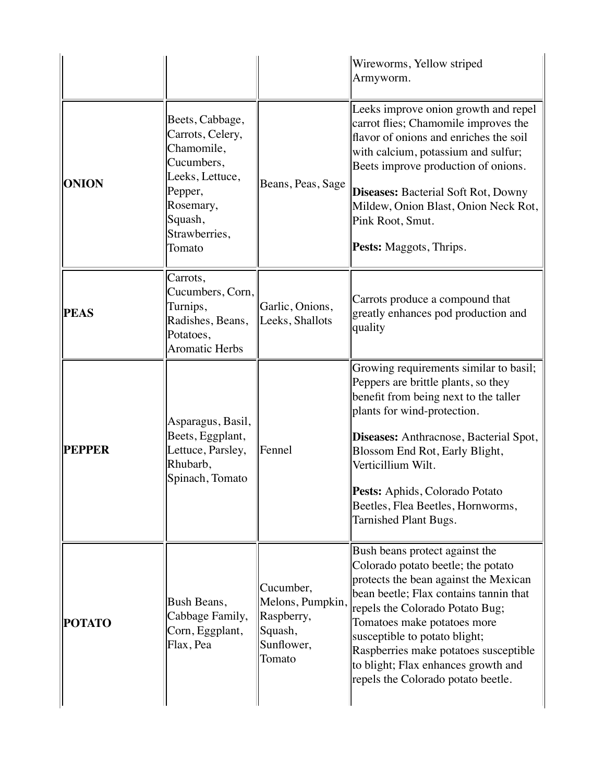|               |                                                                                                                                                  |                                                                                | Wireworms, Yellow striped<br>Armyworm.                                                                                                                                                                                                                                                                                                                                           |
|---------------|--------------------------------------------------------------------------------------------------------------------------------------------------|--------------------------------------------------------------------------------|----------------------------------------------------------------------------------------------------------------------------------------------------------------------------------------------------------------------------------------------------------------------------------------------------------------------------------------------------------------------------------|
| <b>ONION</b>  | Beets, Cabbage,<br>Carrots, Celery,<br>Chamomile,<br>Cucumbers,<br>Leeks, Lettuce,<br>Pepper,<br>Rosemary,<br>Squash,<br>Strawberries,<br>Tomato | Beans, Peas, Sage                                                              | Leeks improve onion growth and repel<br>carrot flies; Chamomile improves the<br>flavor of onions and enriches the soil<br>with calcium, potassium and sulfur;<br>Beets improve production of onions.<br><b>Diseases: Bacterial Soft Rot, Downy</b><br>Mildew, Onion Blast, Onion Neck Rot,<br>Pink Root, Smut.<br>Pests: Maggots, Thrips.                                        |
| <b>PEAS</b>   | Carrots,<br>Cucumbers, Corn,<br>Turnips,<br>Radishes, Beans,<br>Potatoes,<br><b>Aromatic Herbs</b>                                               | Garlic, Onions,<br>Leeks, Shallots                                             | Carrots produce a compound that<br>greatly enhances pod production and<br>quality                                                                                                                                                                                                                                                                                                |
| <b>PEPPER</b> | Asparagus, Basil,<br>Beets, Eggplant,<br>Lettuce, Parsley,<br>Rhubarb,<br>Spinach, Tomato                                                        | Fennel                                                                         | Growing requirements similar to basil;<br>Peppers are brittle plants, so they<br>benefit from being next to the taller<br>plants for wind-protection.<br>Diseases: Anthracnose, Bacterial Spot,<br>Blossom End Rot, Early Blight,<br>Verticillium Wilt.<br>Pests: Aphids, Colorado Potato<br>Beetles, Flea Beetles, Hornworms,<br>Tarnished Plant Bugs.                          |
| <b>POTATO</b> | Bush Beans,<br>Cabbage Family,<br>Corn, Eggplant,<br>Flax, Pea                                                                                   | Cucumber,<br>Melons, Pumpkin,<br>Raspberry,<br>Squash,<br>Sunflower,<br>Tomato | Bush beans protect against the<br>Colorado potato beetle; the potato<br>protects the bean against the Mexican<br>bean beetle; Flax contains tannin that<br>repels the Colorado Potato Bug;<br>Tomatoes make potatoes more<br>susceptible to potato blight;<br>Raspberries make potatoes susceptible<br>to blight; Flax enhances growth and<br>repels the Colorado potato beetle. |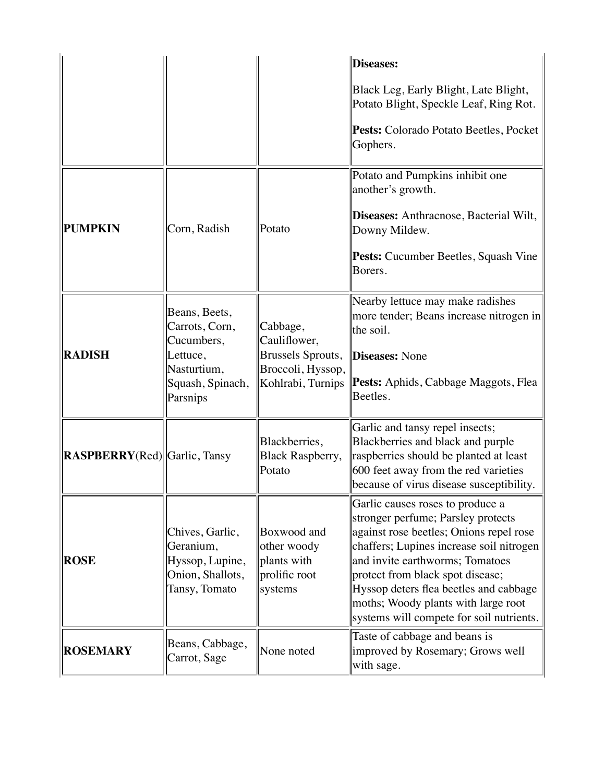|                                      |                                                                                      |                                                                       | <b>Diseases:</b>                                                                                                                                                                                                                                                                                                                                                  |
|--------------------------------------|--------------------------------------------------------------------------------------|-----------------------------------------------------------------------|-------------------------------------------------------------------------------------------------------------------------------------------------------------------------------------------------------------------------------------------------------------------------------------------------------------------------------------------------------------------|
|                                      |                                                                                      |                                                                       | Black Leg, Early Blight, Late Blight,<br>Potato Blight, Speckle Leaf, Ring Rot.                                                                                                                                                                                                                                                                                   |
|                                      |                                                                                      |                                                                       | Pests: Colorado Potato Beetles, Pocket<br>Gophers.                                                                                                                                                                                                                                                                                                                |
|                                      |                                                                                      |                                                                       | Potato and Pumpkins inhibit one<br>another's growth.                                                                                                                                                                                                                                                                                                              |
| <b>PUMPKIN</b>                       | Corn, Radish                                                                         | Potato                                                                | Diseases: Anthracnose, Bacterial Wilt,<br>Downy Mildew.                                                                                                                                                                                                                                                                                                           |
|                                      |                                                                                      |                                                                       | Pests: Cucumber Beetles, Squash Vine<br>Borers.                                                                                                                                                                                                                                                                                                                   |
| <b>RADISH</b>                        | Beans, Beets,<br>Carrots, Corn,<br>Cucumbers,<br>Lettuce,                            | Cabbage,<br>Cauliflower,<br><b>Brussels Sprouts,</b>                  | Nearby lettuce may make radishes<br>more tender; Beans increase nitrogen in<br>the soil.<br><b>Diseases: None</b>                                                                                                                                                                                                                                                 |
|                                      | Nasturtium,<br>Squash, Spinach,<br>Parsnips                                          | Broccoli, Hyssop,<br>Kohlrabi, Turnips                                | Pests: Aphids, Cabbage Maggots, Flea<br>Beetles.                                                                                                                                                                                                                                                                                                                  |
| <b>RASPBERRY</b> (Red) Garlic, Tansy |                                                                                      | Blackberries,<br><b>Black Raspberry,</b><br>Potato                    | Garlic and tansy repel insects;<br>Blackberries and black and purple<br>raspberries should be planted at least<br>600 feet away from the red varieties<br>because of virus disease susceptibility.                                                                                                                                                                |
| <b>ROSE</b>                          | Chives, Garlic,<br>Geranium,<br>Hyssop, Lupine,<br>Onion, Shallots,<br>Tansy, Tomato | Boxwood and<br>other woody<br>plants with<br>prolific root<br>systems | Garlic causes roses to produce a<br>stronger perfume; Parsley protects<br>against rose beetles; Onions repel rose<br>chaffers; Lupines increase soil nitrogen<br>and invite earthworms; Tomatoes<br>protect from black spot disease;<br>Hyssop deters flea beetles and cabbage<br>moths; Woody plants with large root<br>systems will compete for soil nutrients. |
| <b>ROSEMARY</b>                      | Beans, Cabbage,<br>Carrot, Sage                                                      | None noted                                                            | Taste of cabbage and beans is<br>improved by Rosemary; Grows well<br>with sage.                                                                                                                                                                                                                                                                                   |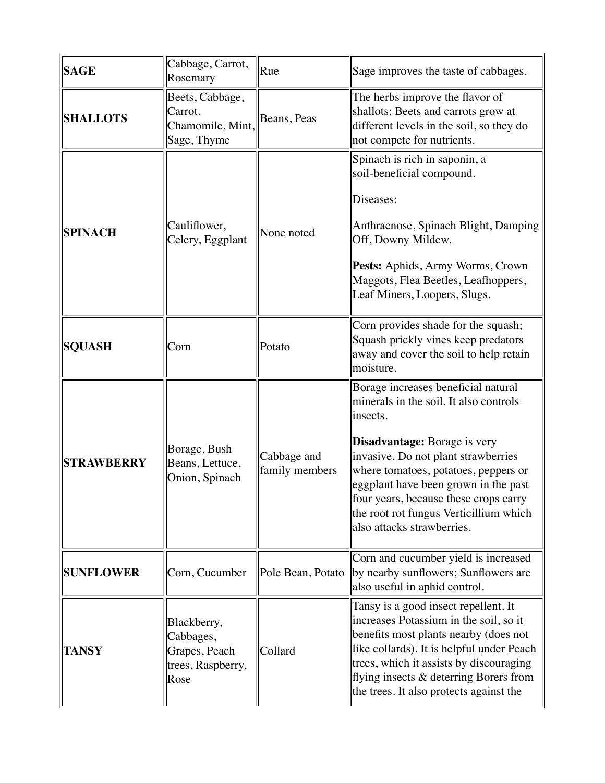| <b>SAGE</b>       | Cabbage, Carrot,<br>Rosemary                                           | Rue                           | Sage improves the taste of cabbages.                                                                                                                                                                                                                                                                                                                              |
|-------------------|------------------------------------------------------------------------|-------------------------------|-------------------------------------------------------------------------------------------------------------------------------------------------------------------------------------------------------------------------------------------------------------------------------------------------------------------------------------------------------------------|
| <b>SHALLOTS</b>   | Beets, Cabbage,<br>Carrot,<br>Chamomile, Mint,<br>Sage, Thyme          | Beans, Peas                   | The herbs improve the flavor of<br>shallots; Beets and carrots grow at<br>different levels in the soil, so they do<br>not compete for nutrients.                                                                                                                                                                                                                  |
| <b>SPINACH</b>    | Cauliflower,<br>Celery, Eggplant                                       | None noted                    | Spinach is rich in saponin, a<br>soil-beneficial compound.<br>Diseases:<br>Anthracnose, Spinach Blight, Damping<br>Off, Downy Mildew.<br>Pests: Aphids, Army Worms, Crown<br>Maggots, Flea Beetles, Leafhoppers,<br>Leaf Miners, Loopers, Slugs.                                                                                                                  |
| <b>SQUASH</b>     | Corn                                                                   | Potato                        | Corn provides shade for the squash;<br>Squash prickly vines keep predators<br>away and cover the soil to help retain<br>moisture.                                                                                                                                                                                                                                 |
| <b>STRAWBERRY</b> | Borage, Bush<br>Beans, Lettuce,<br>Onion, Spinach                      | Cabbage and<br>family members | Borage increases beneficial natural<br>minerals in the soil. It also controls<br>insects.<br>Disadvantage: Borage is very<br>invasive. Do not plant strawberries<br>where tomatoes, potatoes, peppers or<br>eggplant have been grown in the past<br>four years, because these crops carry<br>the root rot fungus Verticillium which<br>also attacks strawberries. |
| <b>SUNFLOWER</b>  | Corn, Cucumber                                                         | Pole Bean, Potato             | Corn and cucumber yield is increased<br>by nearby sunflowers; Sunflowers are<br>also useful in aphid control.                                                                                                                                                                                                                                                     |
| <b>TANSY</b>      | Blackberry,<br>Cabbages,<br>Grapes, Peach<br>trees, Raspberry,<br>Rose | Collard                       | Tansy is a good insect repellent. It<br>increases Potassium in the soil, so it<br>benefits most plants nearby (does not<br>like collards). It is helpful under Peach<br>trees, which it assists by discouraging<br>flying insects & deterring Borers from<br>the trees. It also protects against the                                                              |